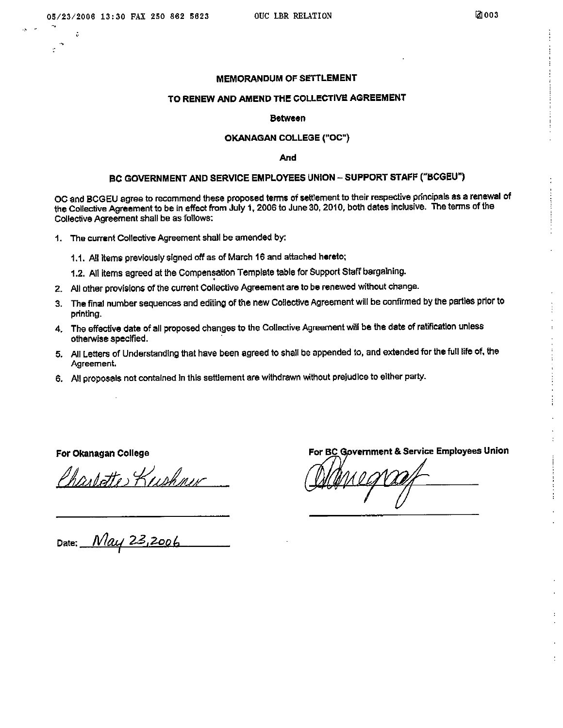ė

#### **MEMORANDUM OF SETTLEMENT**

#### TO RENEW AND AMEND THE COLLECTIVE AGREEMENT

#### **Between**

#### OKANAGAN COLLEGE ("OC")

And

#### BC GOVERNMENT AND SERVICE EMPLOYEES UNION - SUPPORT STAFF ("BCGEU")

OC and BCGEU agree to recommend these proposed terms of settlement to their respective principals as a renewal of the Collective Agreement to be in effect from July 1, 2006 to June 30, 2010, both dates inclusive. The terms of the Collective Agreement shall be as follows:

- 1. The current Collective Agreement shall be amended by:
	- 1.1. All items previously signed off as of March 16 and attached hereto;

1.2. All items agreed at the Compensation Template table for Support Staff bargaining.

- 2. All other provisions of the current Collective Agreement are to be renewed without change.
- 3. The final number sequences and editing of the new Collective Agreement will be confirmed by the parties prior to printing.
- 4. The effective date of all proposed changes to the Collective Agreement will be the date of ratification unless otherwise specified.
- 5. All Letters of Understanding that have been agreed to shall be appended to, and extended for the full life of, the Agreement.
- 6. All proposals not contained in this settlement are withdrawn without prejudice to either party.

For Okanagan College

Charlotte Kushner

For BC Government & Service Employees Union

Date: May 23,2006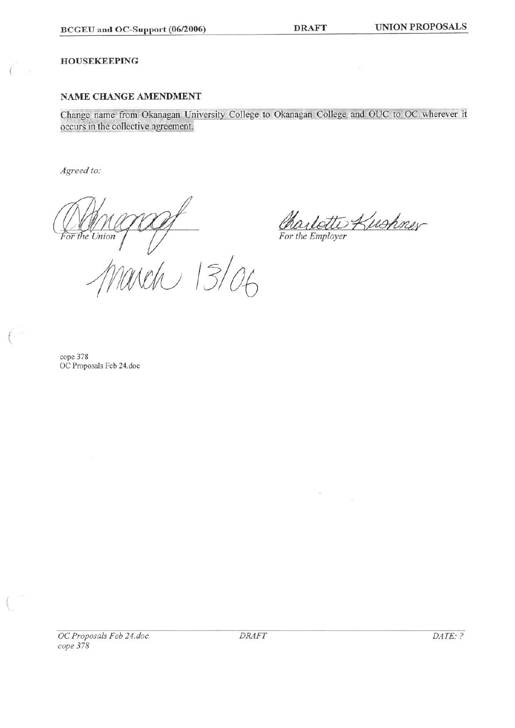**DRAFT** 

#### **HOUSEKEEPING**

### NAME CHANGE AMENDMENT

Change name from Okanagan University College to Okanagan College and OUC to OC wherever it occurs in the collective agreement.

Agreed to:

For the Union

Kushner

×.

For the Employer

 $\mathcal{E}(\cdot)$ 

 $\frac{100}{106}$ 

cope 378 OC Proposals Feb 24.doc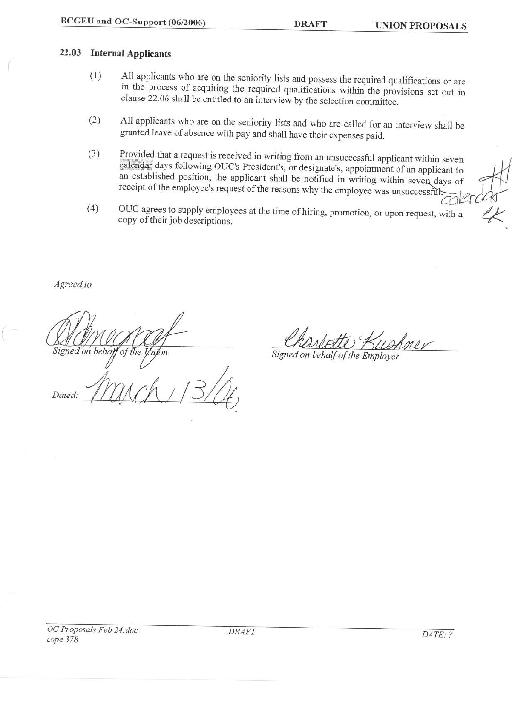#### 22.03 **Internal Applicants**

- All applicants who are on the seniority lists and possess the required qualifications or are  $(1)$ in the process of acquiring the required qualifications within the provisions set out in clause 22.06 shall be entitled to an interview by the selection committee.
- All applicants who are on the seniority lists and who are called for an interview shall be  $(2)$ granted leave of absence with pay and shall have their expenses paid.
- Provided that a request is received in writing from an unsuccessful applicant within seven  $(3)$ calendar days following OUC's President's, or designate's, appointment of an applicant to an established position, the applicant shall be notified in writing within seven days of receipt of the employee's request of the reasons why the employee was unsuccessful.
- OUC agrees to supply employees at the time of hiring, promotion, or upon request, with a  $(4)$ copy of their job descriptions.

Agreed to

Dated.

Signed on behal 'of nion

Signed on behalf of the Employer

**DRAFT**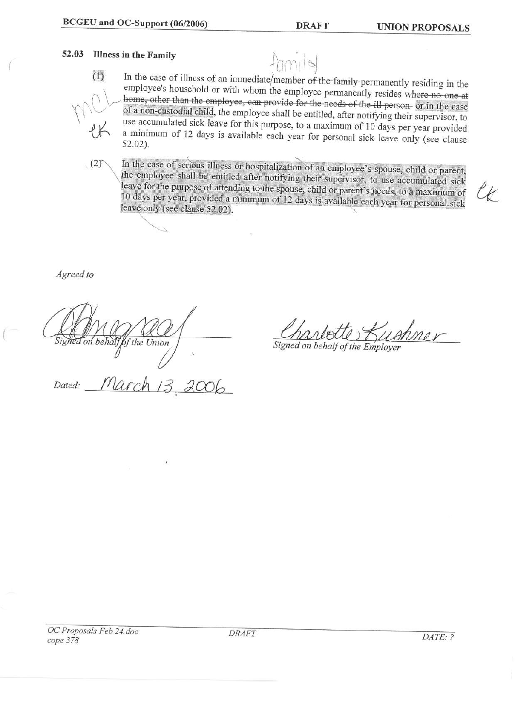#### 52.03 **Illness in the Family**



In the case of illness of an immediate/member of the family permanently residing in the employee's household or with whom the employee permanently resides where no one at home, other than the employee, can provide for the needs of the ill person or in the case of a non-custodial child, the employee shall be entitled, after notifying their supervisor, to use accumulated sick leave for this purpose, to a maximum of 10 days per year provided a minimum of 12 days is available each year for personal sick leave only (see clause  $52.02$ ).

In the case of serious illness or hospitalization of an employee's spouse, child or parent,  $(2)$ the employee shall be entitled after notifying their supervisor, to use accumulated sick leave for the purpose of attending to the spouse, child or parent's needs, to a maximum of 10 days per year, provided a minimum of 12 days is available each year for personal sick leave only (see clause 52.02).

Agreed to

of the Union

Signed on behalf of the Employer

March 13 Dated: 2006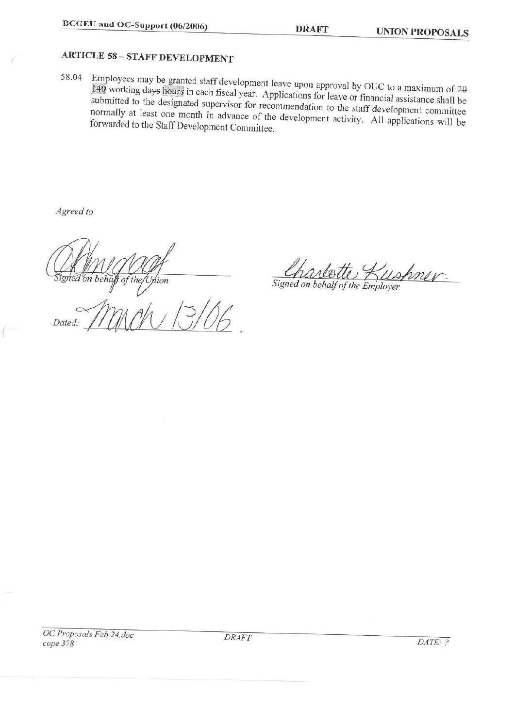**DRAFT** 

# **ARTICLE 58 - STAFF DEVELOPMENT**

Employees may be granted staff development leave upon approval by OUC to a maximum of 20 58.04 140 working days hours in each fiscal year. Applications for leave or financial assistance shall be submitted to the designated supervisor for recommendation to the staff development committee normally at least one month in advance of the development activity. All applications will be forwarded to the Staff Development Committee.

Agreed to

on beha of the iion Dated:

Signed on behalf of the Employer

OC Proposals Feb 24.doc cope 378

**DRAFT**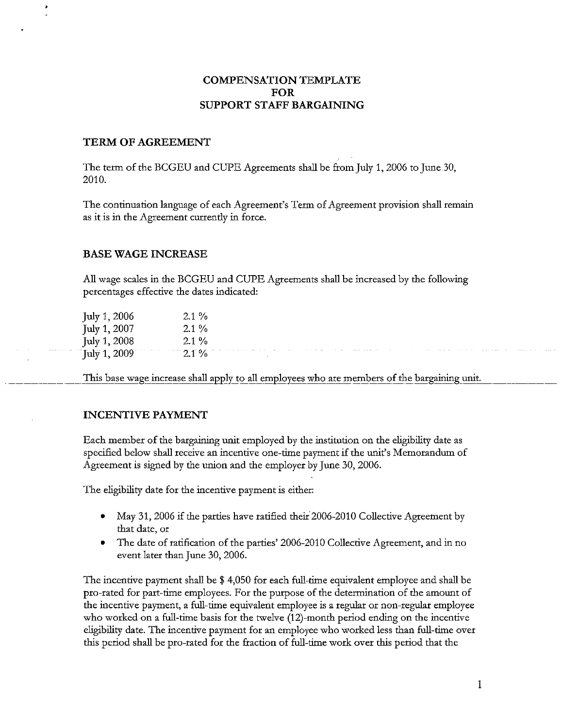# **COMPENSATION TEMPLATE FOR** SUPPORT STAFF BARGAINING

#### TERM OF AGREEMENT

The term of the BCGEU and CUPE Agreements shall be from July 1, 2006 to June 30, 2010.

The continuation language of each Agreement's Term of Agreement provision shall remain as it is in the Agreement currently in force.

#### **BASE WAGE INCREASE**

All wage scales in the BCGEU and CUPE Agreements shall be increased by the following percentages effective the dates indicated:

| July 1, 2006                                      | $2.1\%$                                         |                                                                                                                                                                                                                                          |   |  |  |   |  |
|---------------------------------------------------|-------------------------------------------------|------------------------------------------------------------------------------------------------------------------------------------------------------------------------------------------------------------------------------------------|---|--|--|---|--|
| July 1, 2007                                      |                                                 |                                                                                                                                                                                                                                          |   |  |  |   |  |
| July 1, 2008<br>$\cdot$                           | $2.1\%$                                         |                                                                                                                                                                                                                                          |   |  |  |   |  |
| contract the contract of the con-<br>July 1, 2009 | and the contract of the contract of<br>$-2.107$ | the contract of the contract of the contract of the contract of the contract of the contract of the contract of the contract of the contract of the contract of the contract of the contract of the contract of the contract o<br>$\sim$ | . |  |  | . |  |

This base wage increase shall apply to all employees who are members of the bargaining unit.

#### **INCENTIVE PAYMENT**

Each member of the bargaining unit employed by the institution on the eligibility date as specified below shall receive an incentive one-time payment if the unit's Memorandum of Agreement is signed by the union and the employer by June 30, 2006.

The eligibility date for the incentive payment is either:

- May 31, 2006 if the parties have ratified their 2006-2010 Collective Agreement by that date, or
- The date of ratification of the parties' 2006-2010 Collective Agreement, and in no event later than June 30, 2006.

The incentive payment shall be  $$4,050$  for each full-time equivalent employee and shall be pro-rated for part-time employees. For the purpose of the determination of the amount of the incentive payment, a full-time equivalent employee is a regular or non-regular employee who worked on a full-time basis for the twelve (12)-month period ending on the incentive eligibility date. The incentive payment for an employee who worked less than full-time over this period shall be pro-rated for the fraction of full-time work over this period that the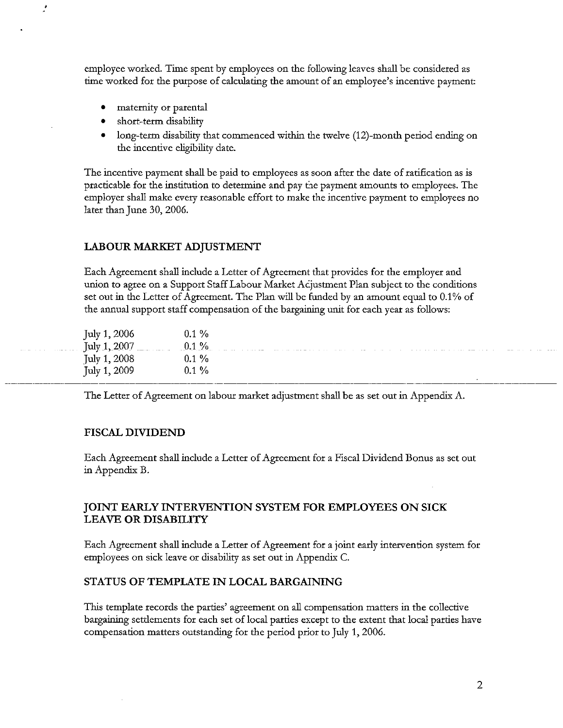employee worked. Time spent by employees on the following leaves shall be considered as time worked for the purpose of calculating the amount of an employee's incentive payment:

- maternity or parental  $\bullet$
- short-term disability  $\bullet$
- long-term disability that commenced within the twelve (12)-month period ending on the incentive eligibility date.

The incentive payment shall be paid to employees as soon after the date of ratification as is practicable for the institution to determine and pay the payment amounts to employees. The employer shall make every reasonable effort to make the incentive payment to employees no later than June 30, 2006.

#### LABOUR MARKET ADJUSTMENT

Each Agreement shall include a Letter of Agreement that provides for the employer and union to agree on a Support Staff Labour Market Adjustment Plan subject to the conditions set out in the Letter of Agreement. The Plan will be funded by an amount equal to 0.1% of the annual support staff compensation of the bargaining unit for each year as follows:

| $0.1\%$ . July 1, 2007<br>July 1, 2008<br>$9.1\%$<br>$0.1\%$ | July 1, 2006 |  |  |  |  |  |  |  |  |
|--------------------------------------------------------------|--------------|--|--|--|--|--|--|--|--|
|                                                              |              |  |  |  |  |  |  |  |  |
|                                                              |              |  |  |  |  |  |  |  |  |
|                                                              | July 1, 2009 |  |  |  |  |  |  |  |  |

The Letter of Agreement on labour market adjustment shall be as set out in Appendix A.

#### **FISCAL DIVIDEND**

Each Agreement shall include a Letter of Agreement for a Fiscal Dividend Bonus as set out in Appendix B.

#### JOINT EARLY INTERVENTION SYSTEM FOR EMPLOYEES ON SICK **LEAVE OR DISABILITY**

Each Agreement shall include a Letter of Agreement for a joint early intervention system for employees on sick leave or disability as set out in Appendix C.

#### STATUS OF TEMPLATE IN LOCAL BARGAINING

This template records the parties' agreement on all compensation matters in the collective bargaining settlements for each set of local parties except to the extent that local parties have compensation matters outstanding for the period prior to July 1, 2006.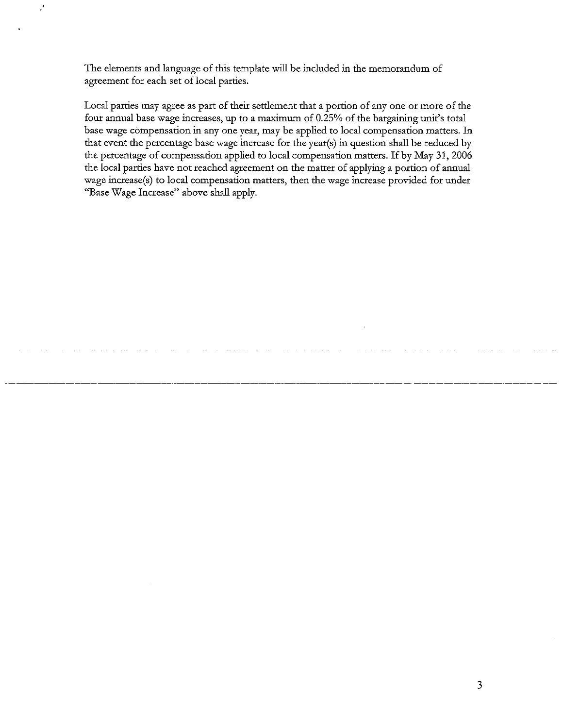The elements and language of this template will be included in the memorandum of agreement for each set of local parties.

Local parties may agree as part of their settlement that a portion of any one or more of the four annual base wage increases, up to a maximum of 0.25% of the bargaining unit's total base wage compensation in any one year, may be applied to local compensation matters. In that event the percentage base wage increase for the year(s) in question shall be reduced by the percentage of compensation applied to local compensation matters. If by May 31, 2006 the local parties have not reached agreement on the matter of applying a portion of annual wage increase(s) to local compensation matters, then the wage increase provided for under "Base Wage Increase" above shall apply.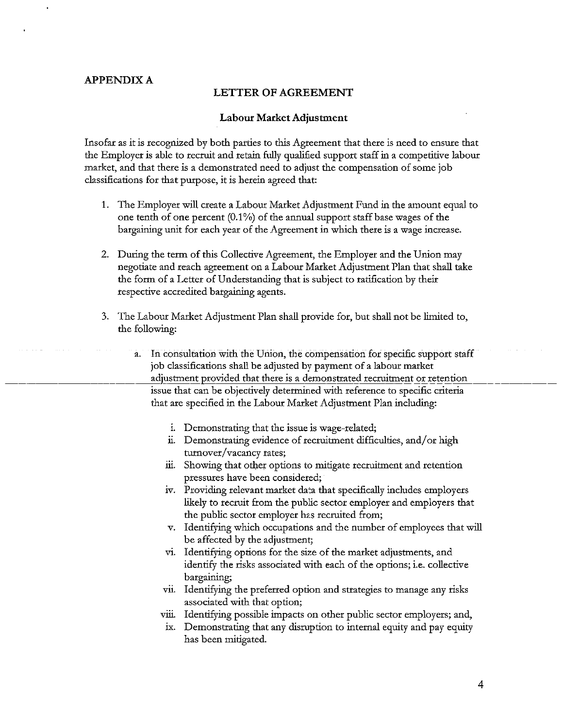## **APPENDIX A**

#### **LETTER OF AGREEMENT**

#### **Labour Market Adjustment**

Insofar as it is recognized by both parties to this Agreement that there is need to ensure that the Employer is able to recruit and retain fully qualified support staff in a competitive labour market, and that there is a demonstrated need to adjust the compensation of some job classifications for that purpose, it is herein agreed that:

- 1. The Employer will create a Labour Market Adjustment Fund in the amount equal to one tenth of one percent (0.1%) of the annual support staff base wages of the bargaining unit for each year of the Agreement in which there is a wage increase.
- 2. During the term of this Collective Agreement, the Employer and the Union may negotiate and reach agreement on a Labour Market Adjustment Plan that shall take the form of a Letter of Understanding that is subject to ratification by their respective accredited bargaining agents.
- 3. The Labour Market Adjustment Plan shall provide for, but shall not be limited to, the following:
	- In consultation with the Union, the compensation for specific support staff **a.** job classifications shall be adjusted by payment of a labour market adjustment provided that there is a demonstrated recruitment or retention issue that can be objectively determined with reference to specific criteria that are specified in the Labour Market Adjustment Plan including:
		- i. Demonstrating that the issue is wage-related;
		- ii. Demonstrating evidence of recruitment difficulties, and/or high turnover/vacancy rates;
		- iii. Showing that other options to mitigate recruitment and retention pressures have been considered;
		- iv. Providing relevant market data that specifically includes employers likely to recruit from the public sector employer and employers that the public sector employer has recruited from;
		- v. Identifying which occupations and the number of employees that will be affected by the adjustment;
		- vi. Identifying options for the size of the market adjustments, and identify the risks associated with each of the options; i.e. collective bargaining;
		- vii. Identifying the preferred option and strategies to manage any risks associated with that option;
		- viii. Identifying possible impacts on other public sector employers; and,
		- ix. Demonstrating that any disruption to internal equity and pay equity has been mitigated.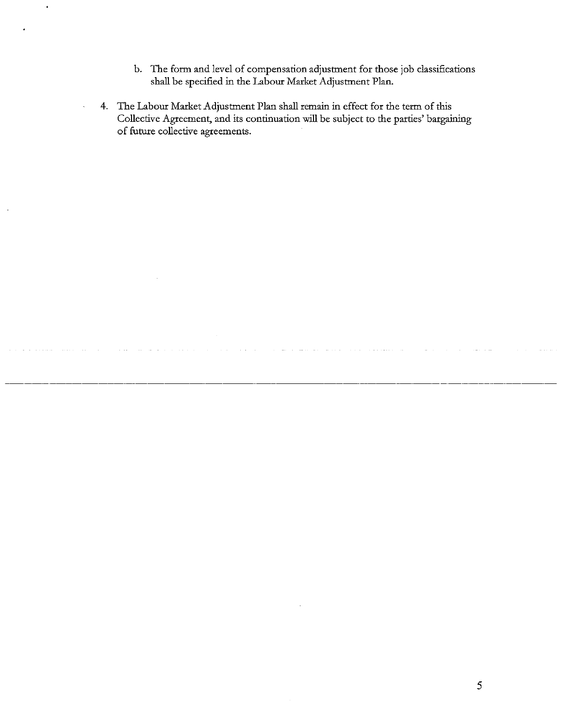- b. The form and level of compensation adjustment for those job classifications shall be specified in the Labour Market Adjustment Plan.
- 4. The Labour Market Adjustment Plan shall remain in effect for the term of this Collective Agreement, and its continuation will be subject to the parties' bargaining of future collective agreements.

 $\mathfrak{S}$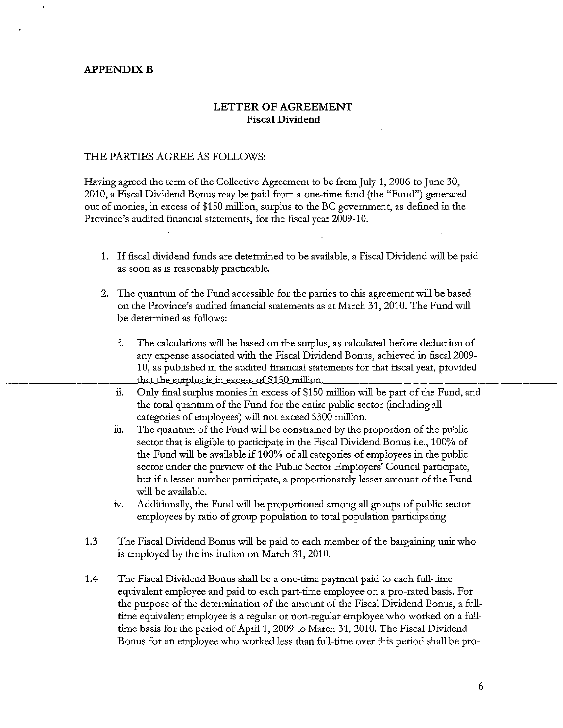#### **APPENDIX B**

## LETTER OF AGREEMENT **Fiscal Dividend**

#### THE PARTIES AGREE AS FOLLOWS:

Having agreed the term of the Collective Agreement to be from July 1, 2006 to June 30, 2010, a Fiscal Dividend Bonus may be paid from a one-time fund (the "Fund") generated out of monies, in excess of \$150 million, surplus to the BC government, as defined in the Province's audited financial statements, for the fiscal year 2009-10.

- 1. If fiscal dividend funds are determined to be available, a Fiscal Dividend will be paid as soon as is reasonably practicable.
- 2. The quantum of the Fund accessible for the parties to this agreement will be based on the Province's audited financial statements as at March 31, 2010. The Fund will be determined as follows:
	- i. The calculations will be based on the surplus, as calculated before deduction of any expense associated with the Fiscal Dividend Bonus, achieved in fiscal 2009-10, as published in the audited financial statements for that fiscal year, provided that the surplus is in excess of \$150 million.
	- й. Only final surplus monies in excess of \$150 million will be part of the Fund, and the total quantum of the Fund for the entire public sector (including all categories of employees) will not exceed \$300 million.
	- üi. The quantum of the Fund will be constrained by the proportion of the public sector that is eligible to participate in the Fiscal Dividend Bonus *i.e.*, 100% of the Fund will be available if 100% of all categories of employees in the public sector under the purview of the Public Sector Employers' Council participate, but if a lesser number participate, a proportionately lesser amount of the Fund will be available.
	- iv. Additionally, the Fund will be proportioned among all groups of public sector employees by ratio of group population to total population participating.
- $1.3$ The Fiscal Dividend Bonus will be paid to each member of the bargaining unit who is employed by the institution on March 31, 2010.
- 1.4 The Fiscal Dividend Bonus shall be a one-time payment paid to each full-time equivalent employee and paid to each part-time employee on a pro-rated basis. For the purpose of the determination of the amount of the Fiscal Dividend Bonus, a fulltime equivalent employee is a regular or non-regular employee who worked on a fulltime basis for the period of April 1, 2009 to March 31, 2010. The Fiscal Dividend Bonus for an employee who worked less than full-time over this period shall be pro-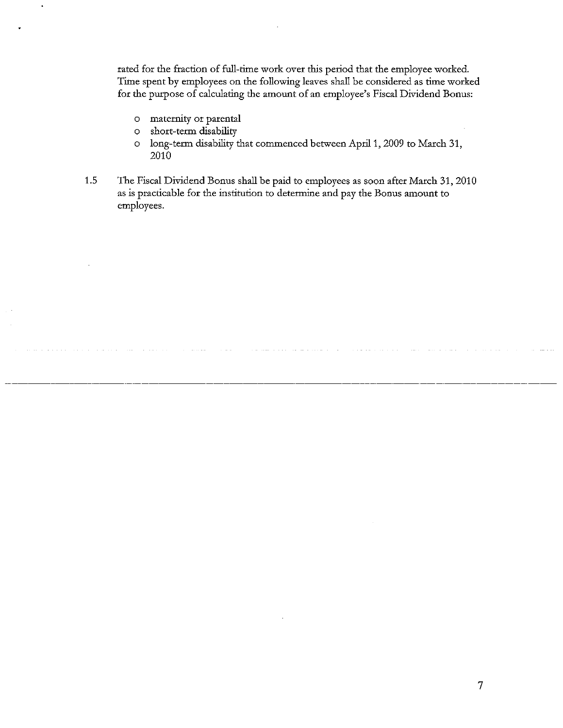rated for the fraction of full-time work over this period that the employee worked. Time spent by employees on the following leaves shall be considered as time worked for the purpose of calculating the amount of an employee's Fiscal Dividend Bonus:

- o maternity or parental
- short-term disability  $\circ$
- long-term disability that commenced between April 1, 2009 to March 31,  $\circ$ 2010
- 1.5 The Fiscal Dividend Bonus shall be paid to employees as soon after March 31, 2010 as is practicable for the institution to determine and pay the Bonus amount to employees.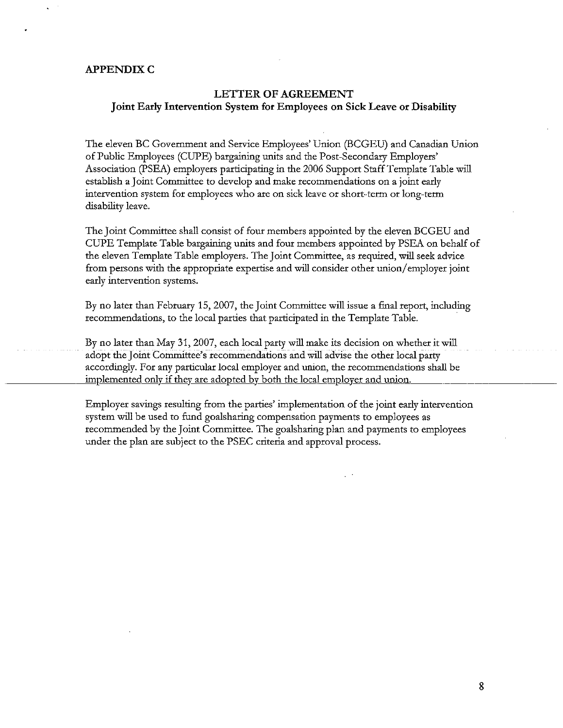#### **APPENDIX C**

#### **LETTER OF AGREEMENT** Joint Early Intervention System for Employees on Sick Leave or Disability

The eleven BC Government and Service Employees' Union (BCGEU) and Canadian Union of Public Employees (CUPE) bargaining units and the Post-Secondary Employers' Association (PSEA) employers participating in the 2006 Support Staff Template Table will establish a Joint Committee to develop and make recommendations on a joint early intervention system for employees who are on sick leave or short-term or long-term disability leave.

The Joint Committee shall consist of four members appointed by the eleven BCGEU and CUPE Template Table bargaining units and four members appointed by PSEA on behalf of the eleven Template Table employers. The Joint Committee, as required, will seek advice from persons with the appropriate expertise and will consider other union/employer joint early intervention systems.

By no later than February 15, 2007, the Joint Committee will issue a final report, including recommendations, to the local parties that participated in the Template Table.

By no later than May 31, 2007, each local party will make its decision on whether it will adopt the Joint Committee's recommendations and will advise the other local party accordingly. For any particular local employer and union, the recommendations shall be implemented only if they are adopted by both the local employer and union.

Employer savings resulting from the parties' implementation of the joint early intervention system will be used to fund goalsharing compensation payments to employees as recommended by the Joint Committee. The goalsharing plan and payments to employees under the plan are subject to the PSEC criteria and approval process.